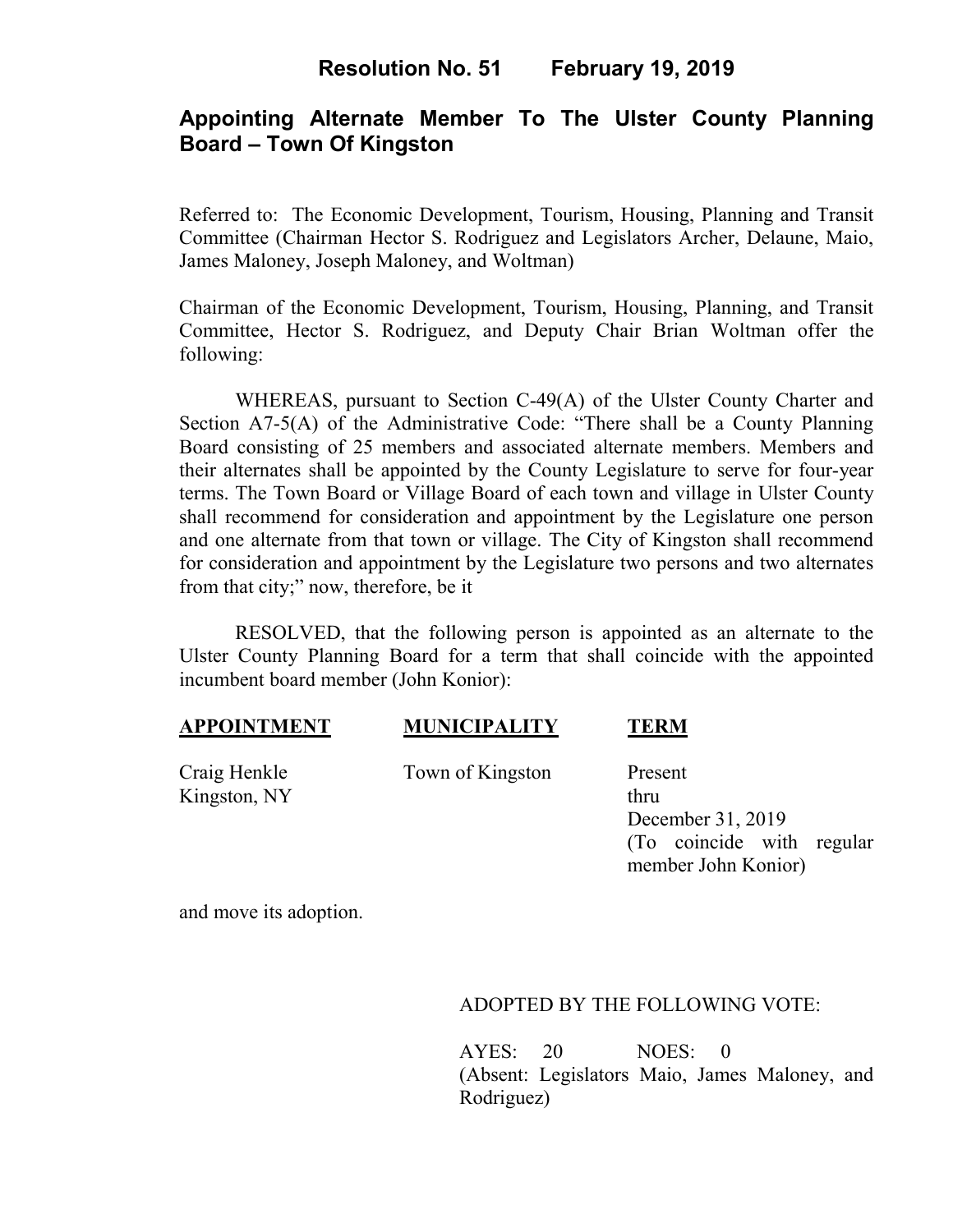## **Resolution No. 51 February 19, 2019**

# **Appointing Alternate Member To The Ulster County Planning Board – Town Of Kingston**

Referred to: The Economic Development, Tourism, Housing, Planning and Transit Committee (Chairman Hector S. Rodriguez and Legislators Archer, Delaune, Maio, James Maloney, Joseph Maloney, and Woltman)

Chairman of the Economic Development, Tourism, Housing, Planning, and Transit Committee, Hector S. Rodriguez, and Deputy Chair Brian Woltman offer the following:

WHEREAS, pursuant to Section C-49(A) of the Ulster County Charter and Section A7-5(A) of the Administrative Code: "There shall be a County Planning Board consisting of 25 members and associated alternate members. Members and their alternates shall be appointed by the County Legislature to serve for four-year terms. The Town Board or Village Board of each town and village in Ulster County shall recommend for consideration and appointment by the Legislature one person and one alternate from that town or village. The City of Kingston shall recommend for consideration and appointment by the Legislature two persons and two alternates from that city;" now, therefore, be it

RESOLVED, that the following person is appointed as an alternate to the Ulster County Planning Board for a term that shall coincide with the appointed incumbent board member (John Konior):

### **APPOINTMENT MUNICIPALITY TERM**

Kingston, NY thru

Craig Henkle Town of Kingston Present

December 31, 2019 (To coincide with regular member John Konior)

and move its adoption.

ADOPTED BY THE FOLLOWING VOTE:

AYES: 20 NOES: 0 (Absent: Legislators Maio, James Maloney, and Rodriguez)